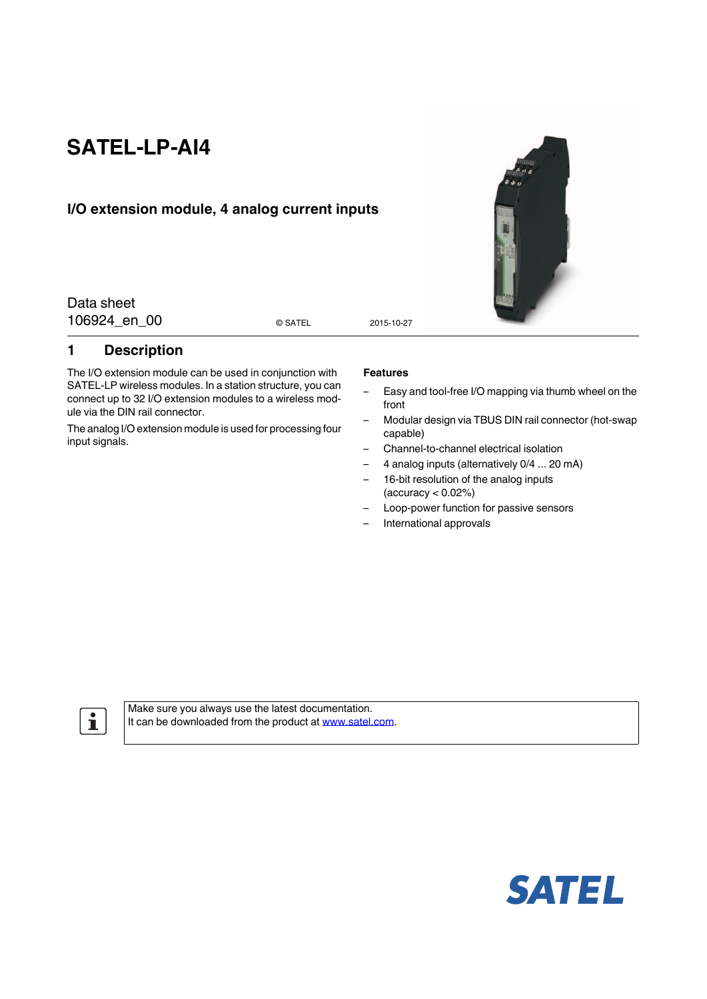# **SATEL-LP-AI4**

### **I/O extension module, 4 analog current inputs**

Data sheet 106924 en 00 assumes and the state of the 2015-10-27

© SATEL

#### <span id="page-0-0"></span>**1 Description**

The I/O extension module can be used in conjunction with SATEL-LP wireless modules. In a station structure, you can connect up to 32 I/O extension modules to a wireless module via the DIN rail connector.

The analog I/O extension module is used for processing four input signals.

#### **Features**

- Easy and tool-free I/O mapping via thumb wheel on the front
- Modular design via TBUS DIN rail connector (hot-swap capable)
- Channel-to-channel electrical isolation
- 4 analog inputs (alternatively 0/4 ... 20 mA)
- 16-bit resolution of the analog inputs  $(accuracy < 0.02%)$
- Loop-power function for passive sensors
- International approvals

 $\mathbf{i}$ 

[Make sure you always use the latest documentation.](http://www.satel.com) [It can be downloaded from the product at](http://www.satel.com) www.satel.com.



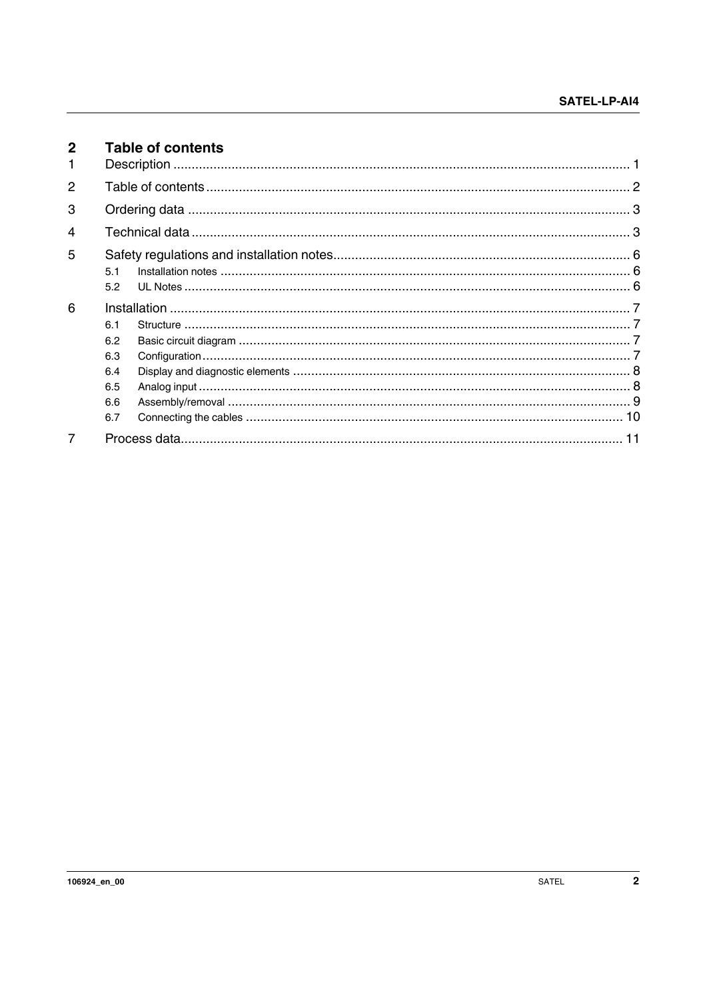<span id="page-1-0"></span>

| $\mathbf{2}$<br>1 |     | <b>Table of contents</b> |  |
|-------------------|-----|--------------------------|--|
|                   |     |                          |  |
| 2                 |     |                          |  |
| 3                 |     |                          |  |
| 4                 |     |                          |  |
| 5                 |     |                          |  |
|                   | 51  |                          |  |
|                   | 5.2 |                          |  |
| 6                 |     |                          |  |
|                   | 6.1 |                          |  |
|                   | 6.2 |                          |  |
|                   | 6.3 |                          |  |
|                   | 6.4 |                          |  |
|                   | 6.5 |                          |  |
|                   | 6.6 |                          |  |
|                   | 6.7 |                          |  |
| 7                 |     |                          |  |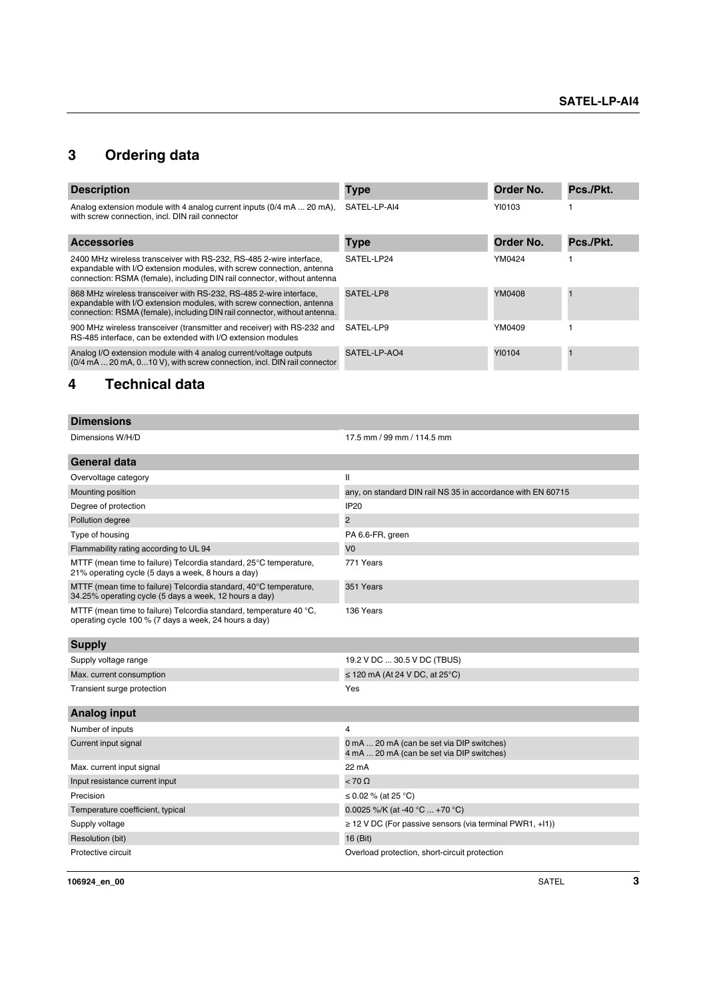# <span id="page-2-0"></span>**3 Ordering data**

| <b>Description</b>                                                                                                                                                                                                       | <b>Type</b>  | Order No. | Pcs./Pkt. |
|--------------------------------------------------------------------------------------------------------------------------------------------------------------------------------------------------------------------------|--------------|-----------|-----------|
| Analog extension module with 4 analog current inputs (0/4 mA  20 mA).<br>with screw connection, incl. DIN rail connector                                                                                                 | SATEL-LP-AI4 | YI0103    |           |
| <b>Accessories</b>                                                                                                                                                                                                       | <b>Type</b>  | Order No. | Pcs./Pkt. |
| 2400 MHz wireless transceiver with RS-232, RS-485 2-wire interface,<br>expandable with I/O extension modules, with screw connection, antenna<br>connection: RSMA (female), including DIN rail connector, without antenna | SATEL-LP24   | YM0424    |           |
| 868 MHz wireless transceiver with RS-232, RS-485 2-wire interface,<br>expandable with I/O extension modules, with screw connection, antenna<br>connection: RSMA (female), including DIN rail connector, without antenna. | SATEL-LP8    | YM0408    |           |
| 900 MHz wireless transceiver (transmitter and receiver) with RS-232 and<br>RS-485 interface, can be extended with I/O extension modules                                                                                  | SATEL-LP9    | YM0409    |           |
| Analog I/O extension module with 4 analog current/voltage outputs<br>(0/4 mA  20 mA, 0 10 V), with screw connection, incl. DIN rail connector                                                                            | SATEL-LP-AO4 | YI0104    |           |

# <span id="page-2-1"></span>**4 Technical data**

| <b>Dimensions</b>                                                                                                           |                                                                                        |
|-----------------------------------------------------------------------------------------------------------------------------|----------------------------------------------------------------------------------------|
| Dimensions W/H/D                                                                                                            | 17.5 mm / 99 mm / 114.5 mm                                                             |
| <b>General data</b>                                                                                                         |                                                                                        |
| Overvoltage category                                                                                                        | $\mathbf{I}$                                                                           |
| Mounting position                                                                                                           | any, on standard DIN rail NS 35 in accordance with EN 60715                            |
| Degree of protection                                                                                                        | <b>IP20</b>                                                                            |
| Pollution degree                                                                                                            | $\overline{2}$                                                                         |
| Type of housing                                                                                                             | PA 6.6-FR, green                                                                       |
| Flammability rating according to UL 94                                                                                      | V <sub>0</sub>                                                                         |
| MTTF (mean time to failure) Telcordia standard, 25°C temperature,<br>21% operating cycle (5 days a week, 8 hours a day)     | 771 Years                                                                              |
| MTTF (mean time to failure) Telcordia standard, 40°C temperature,<br>34.25% operating cycle (5 days a week, 12 hours a day) | 351 Years                                                                              |
| MTTF (mean time to failure) Telcordia standard, temperature 40 °C,<br>operating cycle 100 % (7 days a week, 24 hours a day) | 136 Years                                                                              |
| <b>Supply</b>                                                                                                               |                                                                                        |
| Supply voltage range                                                                                                        | 19.2 V DC  30.5 V DC (TBUS)                                                            |
| Max. current consumption                                                                                                    | $\leq$ 120 mA (At 24 V DC, at 25°C)                                                    |
| Transient surge protection                                                                                                  | Yes                                                                                    |
| <b>Analog input</b>                                                                                                         |                                                                                        |
| Number of inputs                                                                                                            | 4                                                                                      |
| Current input signal                                                                                                        | 0 mA  20 mA (can be set via DIP switches)<br>4 mA  20 mA (can be set via DIP switches) |
| Max. current input signal                                                                                                   | 22 mA                                                                                  |
| Input resistance current input                                                                                              | $< 70 \Omega$                                                                          |
| Precision                                                                                                                   | ≤ 0.02 % (at 25 °C)                                                                    |
| Temperature coefficient, typical                                                                                            | 0.0025 %/K (at -40 $^{\circ}$ C  +70 $^{\circ}$ C)                                     |
| Supply voltage                                                                                                              | $\geq$ 12 V DC (For passive sensors (via terminal PWR1, +11))                          |
| Resolution (bit)                                                                                                            | 16 (Bit)                                                                               |
| Protective circuit                                                                                                          | Overload protection, short-circuit protection                                          |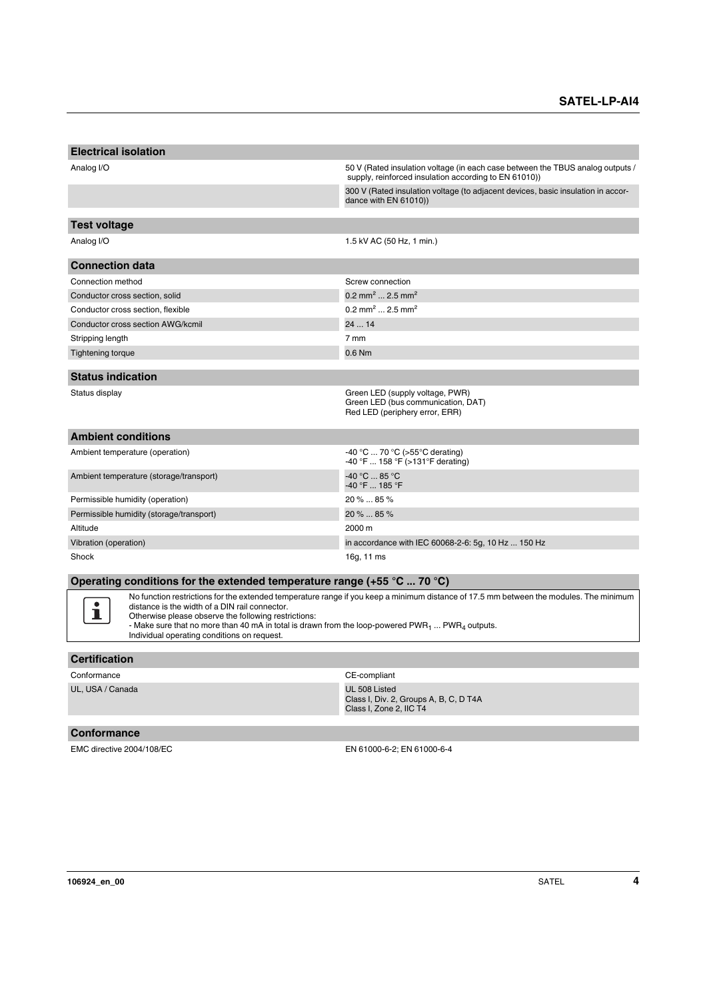| <b>Electrical isolation</b>                                                               |                                                                                                                                         |
|-------------------------------------------------------------------------------------------|-----------------------------------------------------------------------------------------------------------------------------------------|
| Analog I/O                                                                                | 50 V (Rated insulation voltage (in each case between the TBUS analog outputs /<br>supply, reinforced insulation according to EN 61010)) |
|                                                                                           | 300 V (Rated insulation voltage (to adjacent devices, basic insulation in accor-<br>dance with EN 61010))                               |
|                                                                                           |                                                                                                                                         |
| <b>Test voltage</b>                                                                       |                                                                                                                                         |
| Analog I/O                                                                                | 1.5 kV AC (50 Hz, 1 min.)                                                                                                               |
| <b>Connection data</b>                                                                    |                                                                                                                                         |
| Connection method                                                                         | Screw connection                                                                                                                        |
| Conductor cross section, solid                                                            | 0.2 mm <sup>2</sup> 2.5 mm <sup>2</sup>                                                                                                 |
| Conductor cross section, flexible                                                         | $0.2 \text{ mm}^2$ 2.5 mm <sup>2</sup>                                                                                                  |
| Conductor cross section AWG/kcmil                                                         | 2414                                                                                                                                    |
| Stripping length                                                                          | 7 mm                                                                                                                                    |
| <b>Tightening torque</b>                                                                  | 0.6 Nm                                                                                                                                  |
| <b>Status indication</b>                                                                  |                                                                                                                                         |
| Status display                                                                            | Green LED (supply voltage, PWR)<br>Green LED (bus communication, DAT)<br>Red LED (periphery error, ERR)                                 |
| <b>Ambient conditions</b>                                                                 |                                                                                                                                         |
| Ambient temperature (operation)                                                           | -40 °C  70 °C (>55 °C derating)<br>-40 °F  158 °F (>131 °F derating)                                                                    |
| Ambient temperature (storage/transport)                                                   | $-40 °C  85 °C$<br>-40 °F  185 °F                                                                                                       |
| Permissible humidity (operation)                                                          | 20 %  85 %                                                                                                                              |
| Permissible humidity (storage/transport)                                                  | 20 %  85 %                                                                                                                              |
| Altitude                                                                                  | 2000 m                                                                                                                                  |
| Vibration (operation)                                                                     | in accordance with IEC 60068-2-6: 5g, 10 Hz  150 Hz                                                                                     |
| Shock                                                                                     | 16g, 11 ms                                                                                                                              |
| Operating conditions for the extended temperature range (+55 $\degree$ C  70 $\degree$ C) |                                                                                                                                         |

No function restrictions for the extended temperature range if you keep a minimum distance of 17.5 mm between the modules. The minimum distance is the width of a DIN rail connector.<br>Otherwise please observe the following restrictions:<br>- Make sure that no more than 40 mA in total is drawn from the loop-powered PWR<sub>1</sub> ... PWR<sub>4</sub> outputs.

Individual operating conditions on request.

#### **Certification**

 $\mathbf{i}$ 

| Conformance      | CE-compliant                                                                       |  |
|------------------|------------------------------------------------------------------------------------|--|
| UL. USA / Canada | UL 508 Listed<br>Class I, Div. 2, Groups A, B, C, D T4A<br>Class I, Zone 2, IIC T4 |  |
|                  |                                                                                    |  |

#### **Conformance**

EMC directive 2004/108/EC EN 61000-6-2; EN 61000-6-4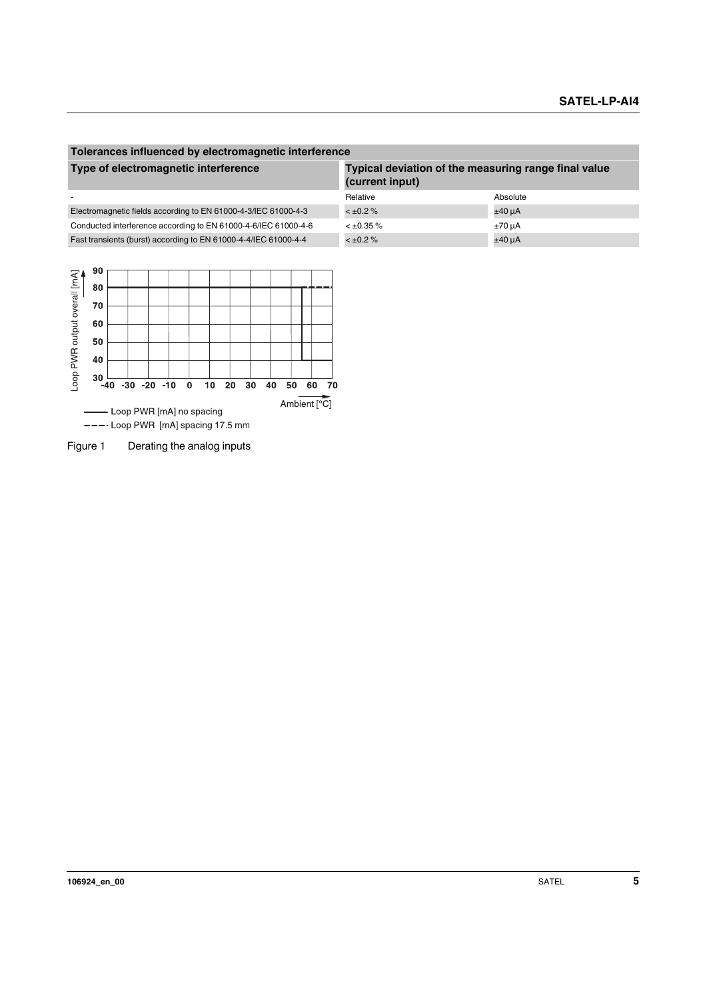#### **Tolerances influenced by electromagnetic interference Type of electromagnetic interference Typical deviation of the measuring range final value (current input)** - Absolute Absolute Absolute Absolute Absolute Absolute Absolute Absolute Absolute Absolute Absolute Electromagnetic fields according to EN 61000-4-3/IEC 61000-4-3 < ±0.2 %  $\pm$ 40 µA Conducted interference according to EN 61000-4-6/IEC 61000-4-6  $\leq \pm 0.35\%$   $\pm 70$  uA Fast transients (burst) according to EN 61000-4-4/IEC 61000-4-4  $\leq \pm 0.2 \%$



Figure 1 Derating the analog inputs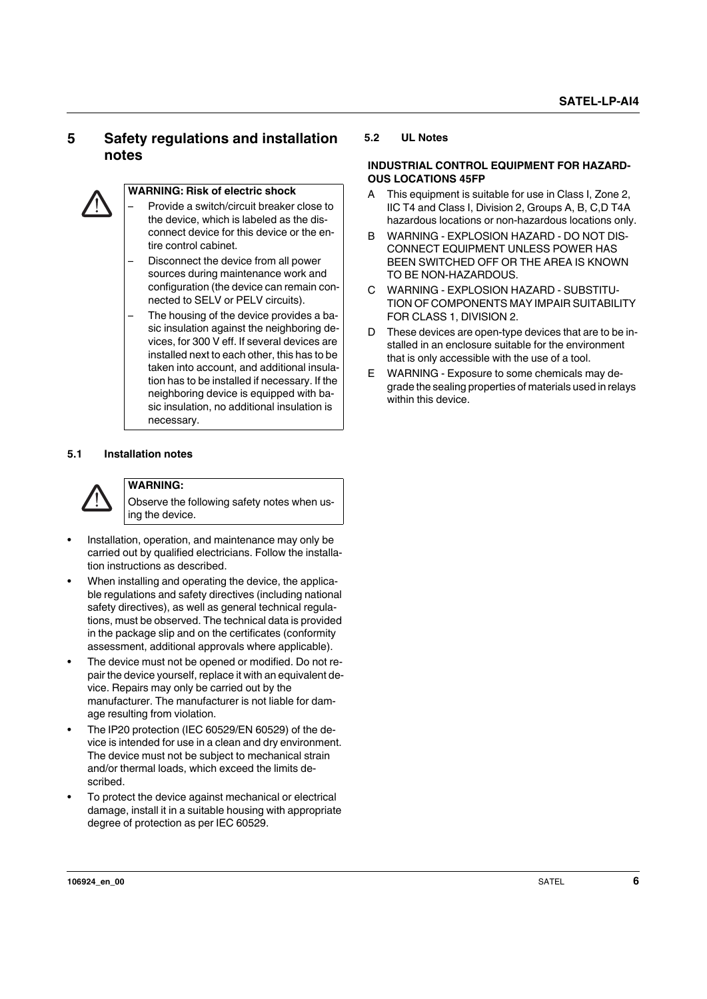## <span id="page-5-0"></span>**5 Safety regulations and installation notes**



#### **WARNING: Risk of electric shock**

- Provide a switch/circuit breaker close to the device, which is labeled as the disconnect device for this device or the entire control cabinet.
- Disconnect the device from all power sources during maintenance work and configuration (the device can remain connected to SELV or PELV circuits).
- The housing of the device provides a basic insulation against the neighboring devices, for 300 V eff. If several devices are installed next to each other, this has to be taken into account, and additional insulation has to be installed if necessary. If the neighboring device is equipped with basic insulation, no additional insulation is necessary.

#### <span id="page-5-1"></span>**5.1 Installation notes**



#### **WARNING:**

Observe the following safety notes when using the device.

- **•** Installation, operation, and maintenance may only be carried out by qualified electricians. Follow the installation instructions as described.
- **•** When installing and operating the device, the applicable regulations and safety directives (including national safety directives), as well as general technical regulations, must be observed. The technical data is provided in the package slip and on the certificates (conformity assessment, additional approvals where applicable).
- **•** The device must not be opened or modified. Do not repair the device yourself, replace it with an equivalent device. Repairs may only be carried out by the manufacturer. The manufacturer is not liable for damage resulting from violation.
- **•** The IP20 protection (IEC 60529/EN 60529) of the device is intended for use in a clean and dry environment. The device must not be subject to mechanical strain and/or thermal loads, which exceed the limits described.
- **•** To protect the device against mechanical or electrical damage, install it in a suitable housing with appropriate degree of protection as per IEC 60529.

#### <span id="page-5-2"></span>**5.2 UL Notes**

#### **INDUSTRIAL CONTROL EQUIPMENT FOR HAZARD-OUS LOCATIONS 45FP**

- A This equipment is suitable for use in Class I, Zone 2, IIC T4 and Class I, Division 2, Groups A, B, C,D T4A hazardous locations or non-hazardous locations only.
- B WARNING EXPLOSION HAZARD DO NOT DIS-CONNECT EQUIPMENT UNLESS POWER HAS BEEN SWITCHED OFF OR THE AREA IS KNOWN TO BE NON-HAZARDOUS.
- C WARNING EXPLOSION HAZARD SUBSTITU-TION OF COMPONENTS MAY IMPAIR SUITABILITY FOR CLASS 1, DIVISION 2.
- D These devices are open-type devices that are to be installed in an enclosure suitable for the environment that is only accessible with the use of a tool.
- E WARNING Exposure to some chemicals may degrade the sealing properties of materials used in relays within this device.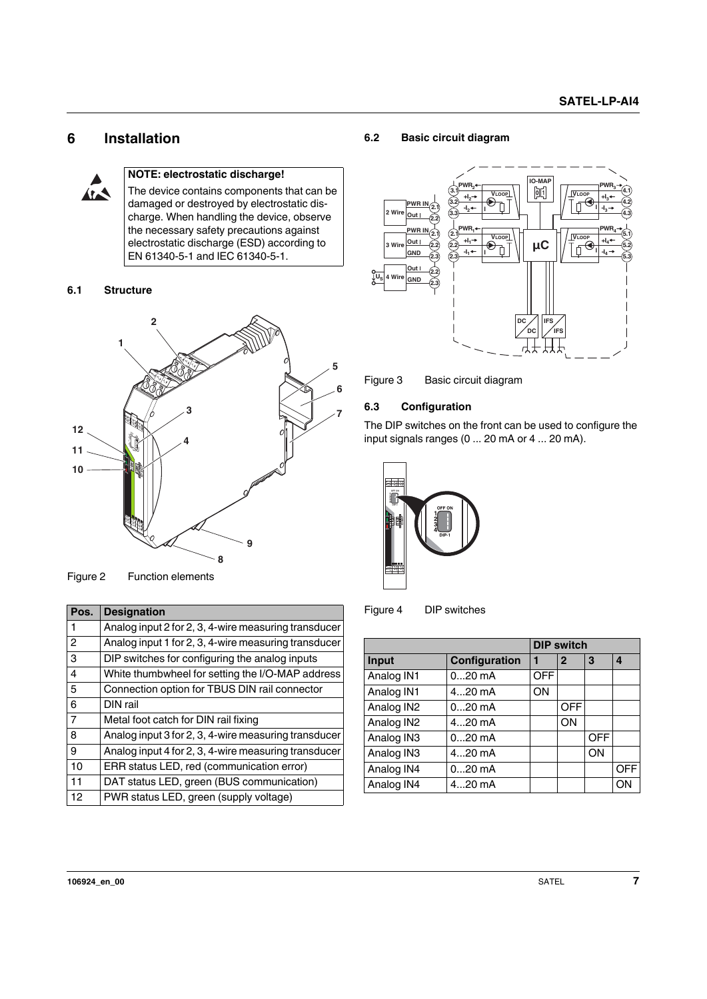### <span id="page-6-0"></span>**6 Installation**



#### **NOTE: electrostatic discharge!**

The device contains components that can be damaged or destroyed by electrostatic discharge. When handling the device, observe the necessary safety precautions against electrostatic discharge (ESD) according to EN 61340-5-1 and IEC 61340-5-1.

#### <span id="page-6-1"></span>**6.1 Structure**



Figure 2 Function elements

| 10<br>Figure 2 | of the contract of the contract of<br>9<br>8<br><b>Function elements</b> |  |
|----------------|--------------------------------------------------------------------------|--|
| Pos.           | <b>Designation</b>                                                       |  |
| 1              | Analog input 2 for 2, 3, 4-wire measuring transducer                     |  |
| $\overline{c}$ | Analog input 1 for 2, 3, 4-wire measuring transducer                     |  |
| 3              | DIP switches for configuring the analog inputs                           |  |
| 4              | White thumbwheel for setting the I/O-MAP address                         |  |
| 5              | Connection option for TBUS DIN rail connector                            |  |
| 6              | DIN rail                                                                 |  |
| $\overline{7}$ | Metal foot catch for DIN rail fixing                                     |  |
| 8              | Analog input 3 for 2, 3, 4-wire measuring transducer                     |  |
| 9              | Analog input 4 for 2, 3, 4-wire measuring transducer                     |  |
| 10             | ERR status LED, red (communication error)                                |  |
| 11             | DAT status LED, green (BUS communication)                                |  |
| 12             | PWR status LED, green (supply voltage)                                   |  |
|                |                                                                          |  |

#### <span id="page-6-2"></span>**6.2 Basic circuit diagram**



Figure 3 Basic circuit diagram

#### <span id="page-6-3"></span>**6.3 Configuration**

The DIP switches on the front can be used to configure the input signals ranges (0 ... 20 mA or 4 ... 20 mA).





|            |               |            | <b>DIP switch</b> |            |            |
|------------|---------------|------------|-------------------|------------|------------|
| Input      | Configuration |            | $\mathbf{2}$      | 3          | 4          |
| Analog IN1 | $020$ mA      | <b>OFF</b> |                   |            |            |
| Analog IN1 | $420$ mA      | ON         |                   |            |            |
| Analog IN2 | $020$ mA      |            | <b>OFF</b>        |            |            |
| Analog IN2 | $420$ mA      |            | ON                |            |            |
| Analog IN3 | $020$ mA      |            |                   | <b>OFF</b> |            |
| Analog IN3 | $420$ mA      |            |                   | ON         |            |
| Analog IN4 | $020$ mA      |            |                   |            | <b>OFF</b> |
| Analog IN4 | $420$ mA      |            |                   |            | O٨         |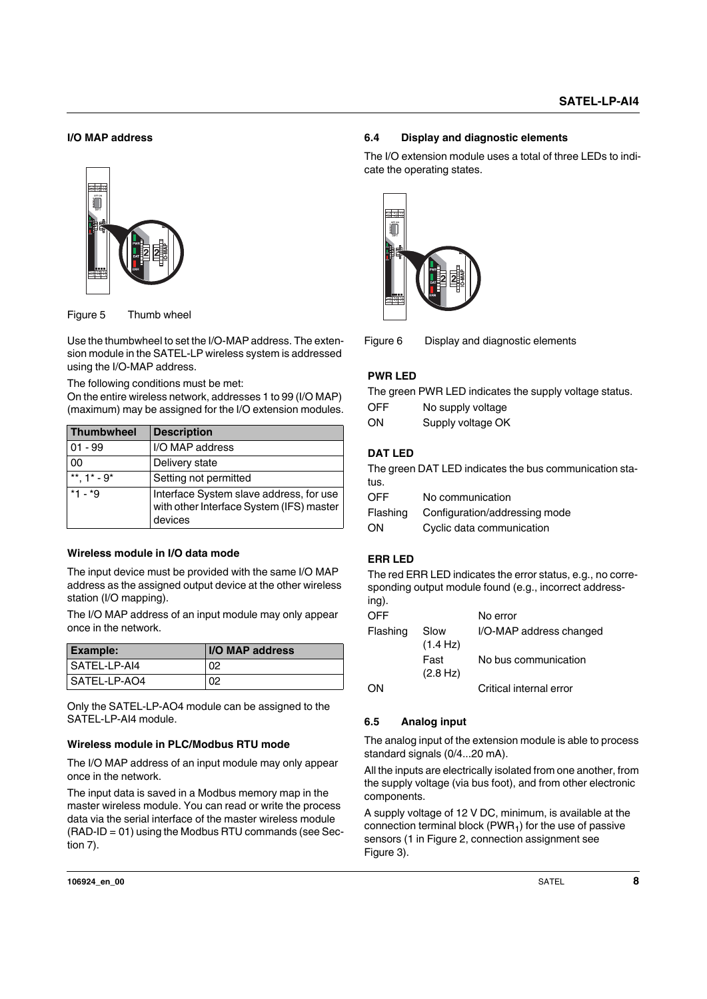#### **I/O MAP address**





| वाञ्चञ                                                              |                                                                                                |                                                                                                                                                                                                                                                  |  |
|---------------------------------------------------------------------|------------------------------------------------------------------------------------------------|--------------------------------------------------------------------------------------------------------------------------------------------------------------------------------------------------------------------------------------------------|--|
| Figure 5                                                            | Thumb wheel                                                                                    |                                                                                                                                                                                                                                                  |  |
| using the I/O-MAP address.<br>The following conditions must be met: |                                                                                                | Use the thumbwheel to set the I/O-MAP address. The exten-<br>sion module in the SATEL-LP wireless system is addressed<br>On the entire wireless network, addresses 1 to 99 (I/O MAP)<br>(maximum) may be assigned for the I/O extension modules. |  |
| <b>Thumbwheel</b>                                                   | <b>Description</b>                                                                             |                                                                                                                                                                                                                                                  |  |
| $01 - 99$                                                           | I/O MAP address                                                                                |                                                                                                                                                                                                                                                  |  |
| 00                                                                  | Delivery state                                                                                 |                                                                                                                                                                                                                                                  |  |
| $1* - 9*$                                                           | Setting not permitted                                                                          |                                                                                                                                                                                                                                                  |  |
| *1 - *9                                                             | Interface System slave address, for use<br>with other Interface System (IFS) master<br>devices |                                                                                                                                                                                                                                                  |  |
| Wireless module in I/O data mode<br>station (I/O mapping).          |                                                                                                | The input device must be provided with the same I/O MAP<br>address as the assigned output device at the other wireless                                                                                                                           |  |
| once in the network.                                                |                                                                                                | The I/O MAP address of an input module may only appear                                                                                                                                                                                           |  |
|                                                                     |                                                                                                |                                                                                                                                                                                                                                                  |  |
| <b>Example:</b>                                                     |                                                                                                | I/O MAP address                                                                                                                                                                                                                                  |  |
| SATEL-LP-AI4                                                        |                                                                                                | 02                                                                                                                                                                                                                                               |  |

#### **Wireless module in I/O data mode**

| <b>Example:</b> | I/O MAP address |
|-----------------|-----------------|
| l SATEL-LP-AI4  | 02              |
| I SATEL-LP-AO4  | 02              |

Only the SATEL-LP-AO4 module can be assigned to the SATEL-LP-AI4 module.

#### **Wireless module in PLC/Modbus RTU mode**

The I/O MAP address of an input module may only appear once in the network.

The input data is saved in a Modbus memory map in the master wireless module. You can read or write the process data via the serial interface of the master wireless module (RAD-ID = 01) using the Modbus RTU commands (see Section 7).

#### <span id="page-7-0"></span>**6.4 Display and diagnostic elements**

The I/O extension module uses a total of three LEDs to indicate the operating states.



Figure 6 Display and diagnostic elements

#### **PWR LED**

The green PWR LED indicates the supply voltage status.

| <b>OFF</b> | No supply voltage |
|------------|-------------------|
| ON         | Supply voltage OK |

#### **DAT LED**

The green DAT LED indicates the bus communication status.

| Flashing | Configuration/addressing mode |
|----------|-------------------------------|
| ON       | Cyclic data communication     |

#### **ERR LED**

The red ERR LED indicates the error status, e.g., no corresponding output module found (e.g., incorrect address $in \alpha$ ).

| ਤੀਬਾਰ          |                   |                                                                                                           |
|----------------|-------------------|-----------------------------------------------------------------------------------------------------------|
| Figure 6       |                   | Display and diagnostic elements                                                                           |
| <b>PWR LED</b> |                   |                                                                                                           |
|                |                   | The green PWR LED indicates the supply voltage :                                                          |
| <b>OFF</b>     | No supply voltage |                                                                                                           |
| ON             | Supply voltage OK |                                                                                                           |
| <b>DAT LED</b> |                   |                                                                                                           |
| tus.           |                   | The green DAT LED indicates the bus communicat                                                            |
| <b>OFF</b>     | No communication  |                                                                                                           |
| Flashing       |                   | Configuration/addressing mode                                                                             |
| ON             |                   | Cyclic data communication                                                                                 |
| <b>ERR LED</b> |                   |                                                                                                           |
| ing).          |                   | The red ERR LED indicates the error status, e.g., no<br>sponding output module found (e.g., incorrect add |
| OFF            |                   | No error                                                                                                  |
| Flashing       | Slow<br>(1.4 Hz)  | I/O-MAP address changed                                                                                   |
|                | Fast<br>(2.8 Hz)  | No bus communication                                                                                      |
| ON             |                   | Critical internal error                                                                                   |

#### <span id="page-7-1"></span>**6.5 Analog input**

The analog input of the extension module is able to process standard signals (0/4...20 mA).

All the inputs are electrically isolated from one another, from the supply voltage (via bus foot), and from other electronic components.

A supply voltage of 12 V DC, minimum, is available at the connection terminal block ( $PWR<sub>1</sub>$ ) for the use of passive sensors (1 in Figure 2, connection assignment see Figure 3).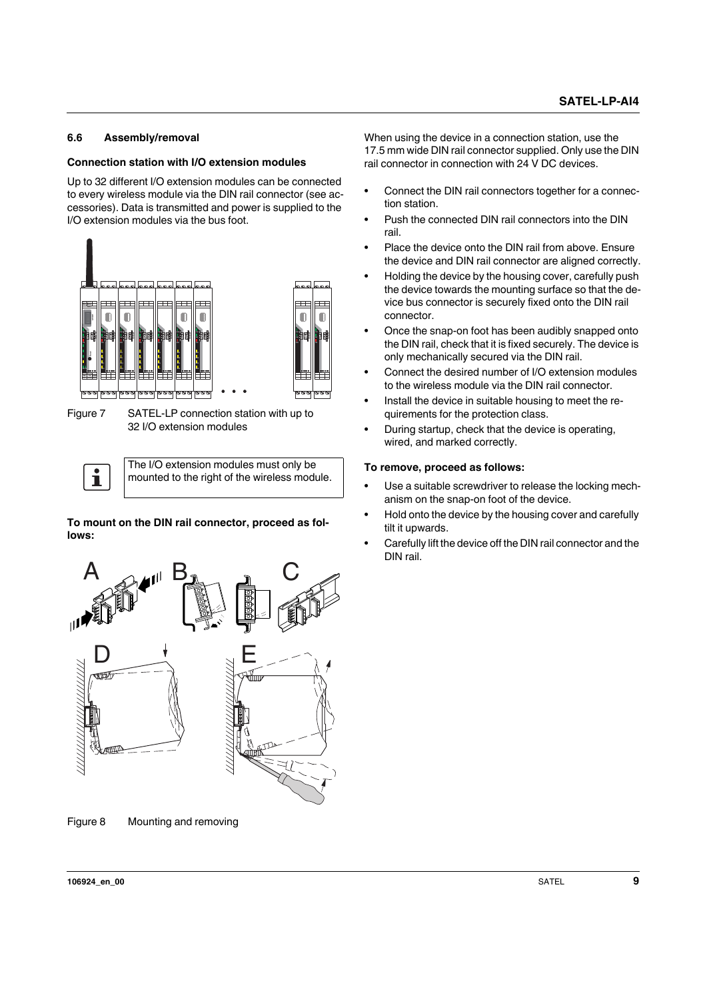#### <span id="page-8-0"></span>**6.6 Assembly/removal**

#### **Connection station with I/O extension modules**

Up to 32 different I/O extension modules can be connected to every wireless module via the DIN rail connector (see accessories). Data is transmitted and power is supplied to the I/O extension modules via the bus foot.



Figure 7 SATEL-LP connection station with up to 32 I/O extension modules

The I/O extension modules must only be  $\mathbf{i}$ mounted to the right of the wireless module.

**To mount on the DIN rail connector, proceed as follows:**



Figure 8 Mounting and removing

When using the device in a connection station, use the 17.5 mm wide DIN rail connector supplied. Only use the DIN rail connector in connection with 24 V DC devices.

- **•** Connect the DIN rail connectors together for a connection station.
- **•** Push the connected DIN rail connectors into the DIN rail.
- **•** Place the device onto the DIN rail from above. Ensure the device and DIN rail connector are aligned correctly.
- **•** Holding the device by the housing cover, carefully push the device towards the mounting surface so that the device bus connector is securely fixed onto the DIN rail connector.
- **•** Once the snap-on foot has been audibly snapped onto the DIN rail, check that it is fixed securely. The device is only mechanically secured via the DIN rail.
- **•** Connect the desired number of I/O extension modules to the wireless module via the DIN rail connector.
- **•** Install the device in suitable housing to meet the requirements for the protection class.
- **•** During startup, check that the device is operating, wired, and marked correctly.

#### **To remove, proceed as follows:**

- **•** Use a suitable screwdriver to release the locking mechanism on the snap-on foot of the device.
- **•** Hold onto the device by the housing cover and carefully tilt it upwards.
- **•** Carefully lift the device off the DIN rail connector and the DIN rail.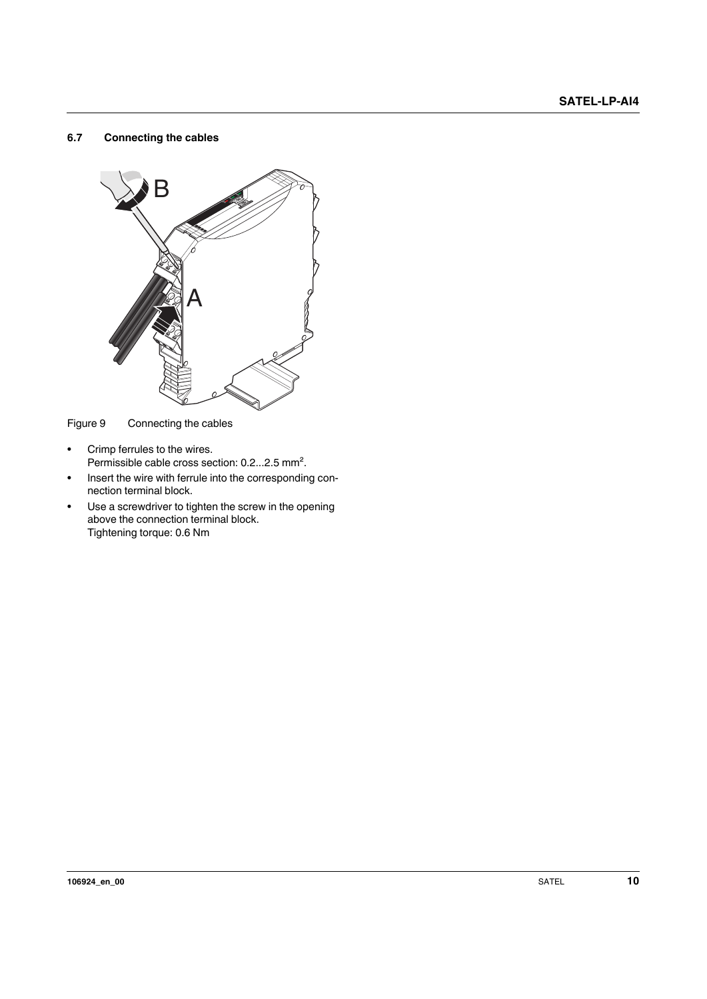#### <span id="page-9-0"></span>**6.7 Connecting the cables**



Figure 9 Connecting the cables

- **•** Crimp ferrules to the wires. Permissible cable cross section: 0.2...2.5 mm².
- **•** Insert the wire with ferrule into the corresponding connection terminal block.
- **•** Use a screwdriver to tighten the screw in the opening above the connection terminal block. Tightening torque: 0.6 Nm